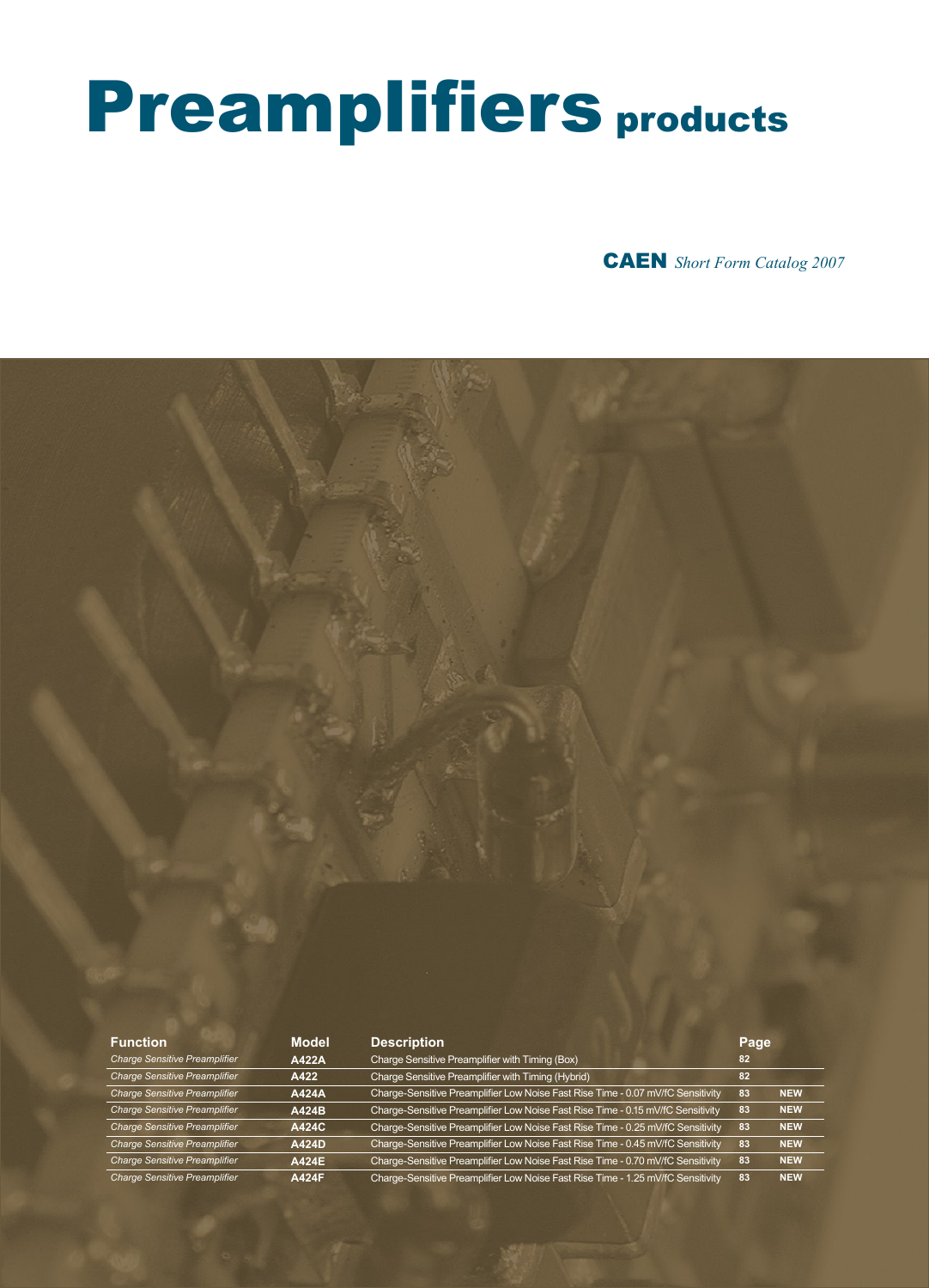# Preamplifiers products

CAEN *Short Form Catalog 2007*



| <b>Function</b>                      | <b>Model</b> | <b>Description</b>                                                              | Page |            |
|--------------------------------------|--------------|---------------------------------------------------------------------------------|------|------------|
| <b>Charge Sensitive Preamplifier</b> | A422A        | Charge Sensitive Preamplifier with Timing (Box)                                 | 82   |            |
| <b>Charge Sensitive Preamplifier</b> | A422         | Charge Sensitive Preamplifier with Timing (Hybrid)                              | 82   |            |
| <b>Charge Sensitive Preamplifier</b> | <b>A424A</b> | Charge-Sensitive Preamplifier Low Noise Fast Rise Time - 0.07 mV/fC Sensitivity | 83   | <b>NEW</b> |
| <b>Charge Sensitive Preamplifier</b> | A424B        | Charge-Sensitive Preamplifier Low Noise Fast Rise Time - 0.15 mV/fC Sensitivity | 83   | <b>NEW</b> |
| <b>Charge Sensitive Preamplifier</b> | A424C        | Charge-Sensitive Preamplifier Low Noise Fast Rise Time - 0.25 mV/fC Sensitivity | 83   | <b>NEW</b> |
| <b>Charge Sensitive Preamplifier</b> | A424D        | Charge-Sensitive Preamplifier Low Noise Fast Rise Time - 0.45 mV/fC Sensitivity | 83   | <b>NEW</b> |
| <b>Charge Sensitive Preamplifier</b> | A424E        | Charge-Sensitive Preamplifier Low Noise Fast Rise Time - 0.70 mV/fC Sensitivity | 83   | <b>NEW</b> |
| <b>Charge Sensitive Preamplifier</b> | A424F        | Charge-Sensitive Preamplifier Low Noise Fast Rise Time - 1.25 mV/fC Sensitivity | 83   | <b>NEW</b> |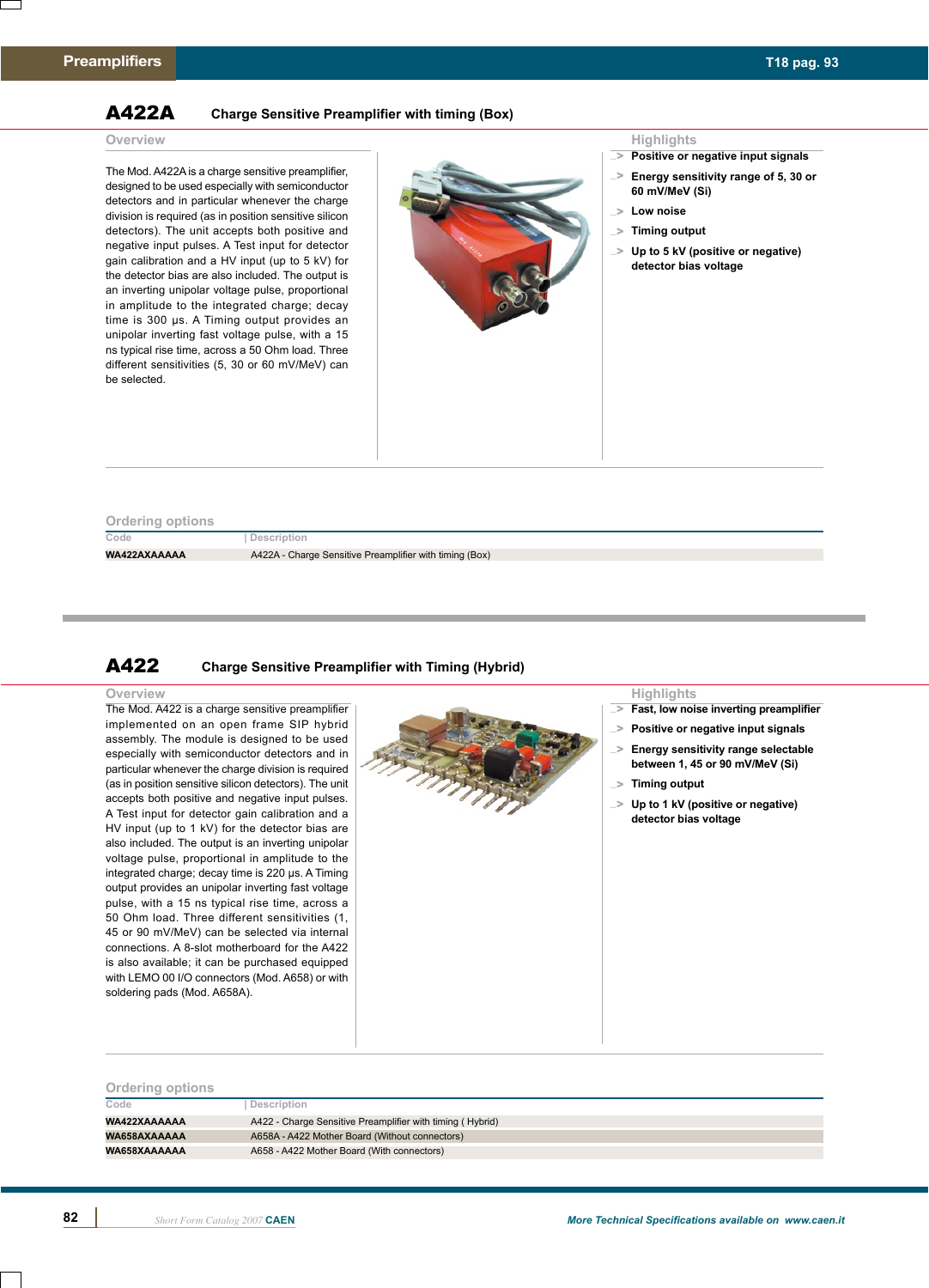## A422A **Charge Sensitive Preamplifier with timing (Box)**

The Mod. A422A is a charge sensitive preamplifier, designed to be used especially with semiconductor detectors and in particular whenever the charge division is required (as in position sensitive silicon detectors). The unit accepts both positive and negative input pulses. A Test input for detector gain calibration and a HV input (up to 5 kV) for the detector bias are also included. The output is an inverting unipolar voltage pulse, proportional in amplitude to the integrated charge; decay time is 300 µs. A Timing output provides an unipolar inverting fast voltage pulse, with a 15 ns typical rise time, across a 50 Ohm load. Three different sensitivities (5, 30 or 60 mV/MeV) can be selected.



- **Positive or negative input signals ...**>
- **Energy sensitivity range of 5, 30 or 60 mV/MeV (Si) ...**>
- **Low noise ...**>
- **Timing output ...**>
- **Up to 5 kV (positive or negative) detector bias voltage ...**>

### **Ordering options**

**Code | Description**

WA422AXAAAAA **A422A** - Charge Sensitive Preamplifier with timing (Box)

## A422 **Charge Sensitive Preamplifier with Timing (Hybrid)**

The Mod. A422 is a charge sensitive preamplifier implemented on an open frame SIP hybrid assembly. The module is designed to be used especially with semiconductor detectors and in particular whenever the charge division is required (as in position sensitive silicon detectors). The unit accepts both positive and negative input pulses. A Test input for detector gain calibration and a HV input (up to 1 kV) for the detector bias are also included. The output is an inverting unipolar voltage pulse, proportional in amplitude to the integrated charge; decay time is 220 µs. A Timing output provides an unipolar inverting fast voltage pulse, with a 15 ns typical rise time, across a 50 Ohm load. Three different sensitivities (1, 45 or 90 mV/MeV) can be selected via internal connections. A 8-slot motherboard for the A422 is also available; it can be purchased equipped with LEMO 00 I/O connectors (Mod. A658) or with soldering pads (Mod. A658A).



- **Fast, low noise inverting preamplifier ...**>
- **Positive or negative input signals ...**>
- **Energy sensitivity range selectable between 1, 45 or 90 mV/MeV (Si) ...**>
- **Timing output ...**>
- **Up to 1 kV (positive or negative) ...**> **detector bias voltage**

| <b>Ordering options</b> |                                                           |
|-------------------------|-----------------------------------------------------------|
| Code                    | Description                                               |
| WA422XAAAAAA            | A422 - Charge Sensitive Preamplifier with timing (Hybrid) |
| WA658AXAAAAA            | A658A - A422 Mother Board (Without connectors)            |
| WA658XAAAAAA            | A658 - A422 Mother Board (With connectors)                |